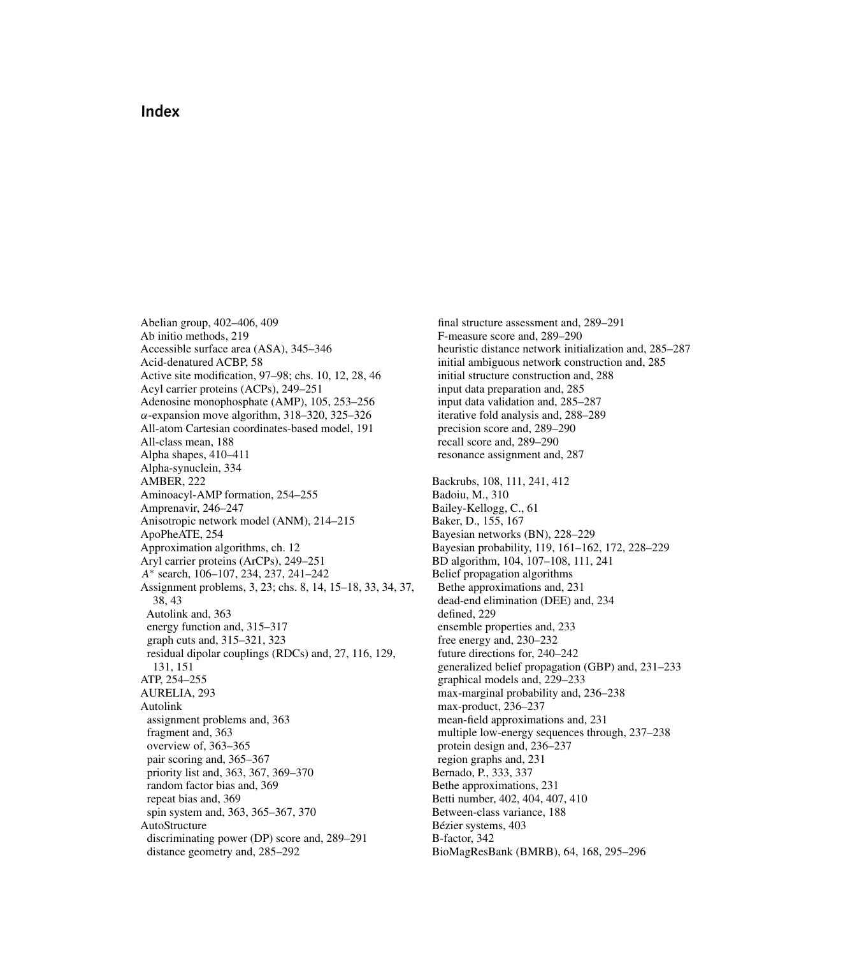## **Index**

Abelian group, 402–406, 409 Ab initio methods, 219 Accessible surface area (ASA), 345–346 Acid-denatured ACBP, 58 Active site modification, 97–98; chs. 10, 12, 28, 46 Acyl carrier proteins (ACPs), 249–251 Adenosine monophosphate (AMP), 105, 253–256  $\alpha$ -expansion move algorithm, 318–320, 325–326 All-atom Cartesian coordinates-based model, 191 All-class mean, 188 Alpha shapes, 410–411 Alpha-synuclein, 334 AMBER, 222 Aminoacyl-AMP formation, 254–255 Amprenavir, 246–247 Anisotropic network model (ANM), 214–215 ApoPheATE, 254 Approximation algorithms, ch. 12 Aryl carrier proteins (ArCPs), 249–251 A<sup>∗</sup> search, 106–107, 234, 237, 241–242 Assignment problems, 3, 23; chs. 8, 14, 15–18, 33, 34, 37, 38, 43 Autolink and, 363 energy function and, 315–317 graph cuts and, 315–321, 323 residual dipolar couplings (RDCs) and, 27, 116, 129, 131, 151 ATP, 254–255 AURELIA, 293 Autolink assignment problems and, 363 fragment and, 363 overview of, 363–365 pair scoring and, 365–367 priority list and, 363, 367, 369–370 random factor bias and, 369 repeat bias and, 369 spin system and, 363, 365–367, 370 AutoStructure discriminating power (DP) score and, 289–291 distance geometry and, 285–292

final structure assessment and, 289–291 F-measure score and, 289–290 heuristic distance network initialization and, 285–287 initial ambiguous network construction and, 285 initial structure construction and, 288 input data preparation and, 285 input data validation and, 285–287 iterative fold analysis and, 288–289 precision score and, 289–290 recall score and, 289–290 resonance assignment and, 287 Backrubs, 108, 111, 241, 412 Badoiu, M., 310 Bailey-Kellogg, C., 61 Baker, D., 155, 167 Bayesian networks (BN), 228–229 Bayesian probability, 119, 161–162, 172, 228–229 BD algorithm, 104, 107–108, 111, 241 Belief propagation algorithms Bethe approximations and, 231 dead-end elimination (DEE) and, 234 defined, 229 ensemble properties and, 233 free energy and, 230–232 future directions for, 240–242 generalized belief propagation (GBP) and, 231–233 graphical models and, 229–233 max-marginal probability and, 236–238 max-product, 236–237 mean-field approximations and, 231 multiple low-energy sequences through, 237–238 protein design and, 236–237 region graphs and, 231 Bernado, P., 333, 337 Bethe approximations, 231 Betti number, 402, 404, 407, 410 Between-class variance, 188 Bézier systems, 403 B-factor, 342 BioMagResBank (BMRB), 64, 168, 295–296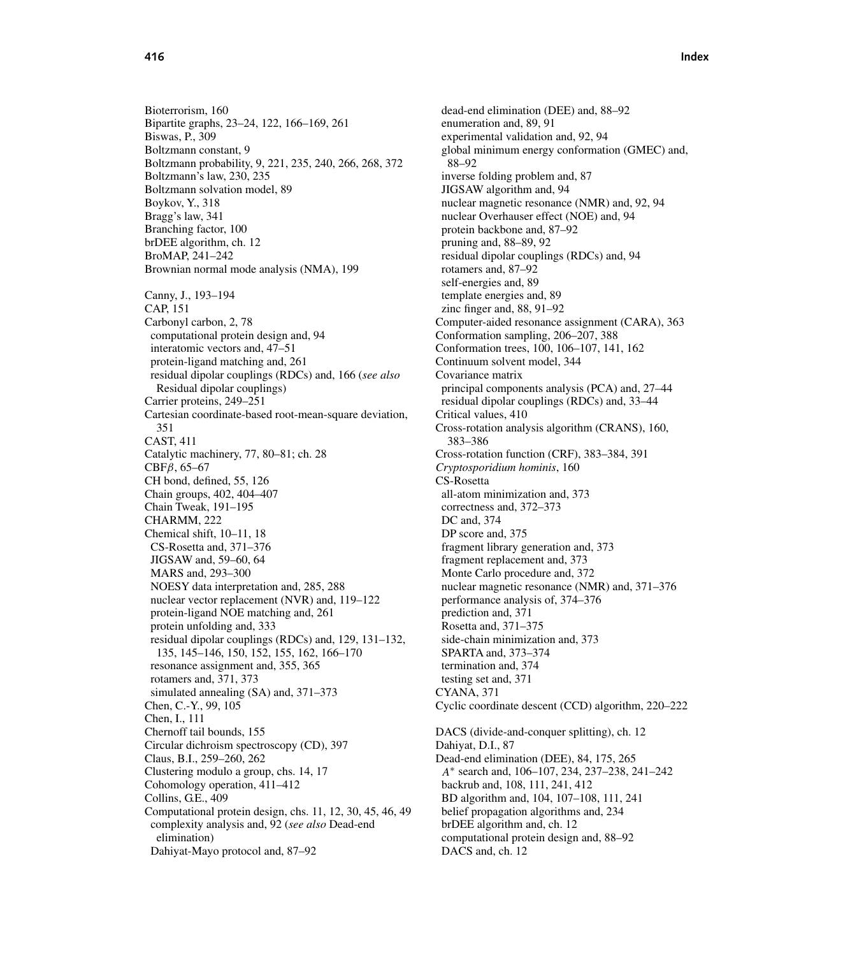Bioterrorism, 160 Bipartite graphs, 23–24, 122, 166–169, 261 Biswas, P., 309 Boltzmann constant, 9 Boltzmann probability, 9, 221, 235, 240, 266, 268, 372 Boltzmann's law, 230, 235 Boltzmann solvation model, 89 Boykov, Y., 318 Bragg's law, 341 Branching factor, 100 brDEE algorithm, ch. 12 BroMAP, 241–242 Brownian normal mode analysis (NMA), 199 Canny, J., 193–194 CAP, 151 Carbonyl carbon, 2, 78 computational protein design and, 94 interatomic vectors and, 47–51 protein-ligand matching and, 261 residual dipolar couplings (RDCs) and, 166 (*see also* Residual dipolar couplings) Carrier proteins, 249–251 Cartesian coordinate-based root-mean-square deviation, 351 CAST, 411 Catalytic machinery, 77, 80–81; ch. 28 CBFβ, 65–67 CH bond, defined, 55, 126 Chain groups, 402, 404–407 Chain Tweak, 191–195 CHARMM, 222 Chemical shift, 10–11, 18 CS-Rosetta and, 371–376 JIGSAW and, 59–60, 64 MARS and, 293–300 NOESY data interpretation and, 285, 288 nuclear vector replacement (NVR) and, 119–122 protein-ligand NOE matching and, 261 protein unfolding and, 333 residual dipolar couplings (RDCs) and, 129, 131–132, 135, 145–146, 150, 152, 155, 162, 166–170 resonance assignment and, 355, 365 rotamers and, 371, 373 simulated annealing (SA) and, 371–373 Chen, C.-Y., 99, 105 Chen, I., 111 Chernoff tail bounds, 155 Circular dichroism spectroscopy (CD), 397 Claus, B.I., 259–260, 262 Clustering modulo a group, chs. 14, 17 Cohomology operation, 411–412 Collins, G.E., 409 Computational protein design, chs. 11, 12, 30, 45, 46, 49 complexity analysis and, 92 (*see also* Dead-end elimination) Dahiyat-Mayo protocol and, 87–92

dead-end elimination (DEE) and, 88–92 enumeration and, 89, 91 experimental validation and, 92, 94 global minimum energy conformation (GMEC) and, 88–92 inverse folding problem and, 87 JIGSAW algorithm and, 94 nuclear magnetic resonance (NMR) and, 92, 94 nuclear Overhauser effect (NOE) and, 94 protein backbone and, 87–92 pruning and, 88–89, 92 residual dipolar couplings (RDCs) and, 94 rotamers and, 87–92 self-energies and, 89 template energies and, 89 zinc finger and, 88, 91–92 Computer-aided resonance assignment (CARA), 363 Conformation sampling, 206–207, 388 Conformation trees, 100, 106–107, 141, 162 Continuum solvent model, 344 Covariance matrix principal components analysis (PCA) and, 27–44 residual dipolar couplings (RDCs) and, 33–44 Critical values, 410 Cross-rotation analysis algorithm (CRANS), 160, 383–386 Cross-rotation function (CRF), 383–384, 391 *Cryptosporidium hominis*, 160 CS-Rosetta all-atom minimization and, 373 correctness and, 372–373 DC and, 374 DP score and, 375 fragment library generation and, 373 fragment replacement and, 373 Monte Carlo procedure and, 372 nuclear magnetic resonance (NMR) and, 371–376 performance analysis of, 374–376 prediction and, 371 Rosetta and, 371–375 side-chain minimization and, 373 SPARTA and, 373–374 termination and, 374 testing set and, 371 CYANA, 371 Cyclic coordinate descent (CCD) algorithm, 220–222 DACS (divide-and-conquer splitting), ch. 12 Dahiyat, D.I., 87 Dead-end elimination (DEE), 84, 175, 265 A<sup>∗</sup> search and, 106–107, 234, 237–238, 241–242 backrub and, 108, 111, 241, 412 BD algorithm and, 104, 107–108, 111, 241 belief propagation algorithms and, 234 brDEE algorithm and, ch. 12 computational protein design and, 88–92 DACS and, ch. 12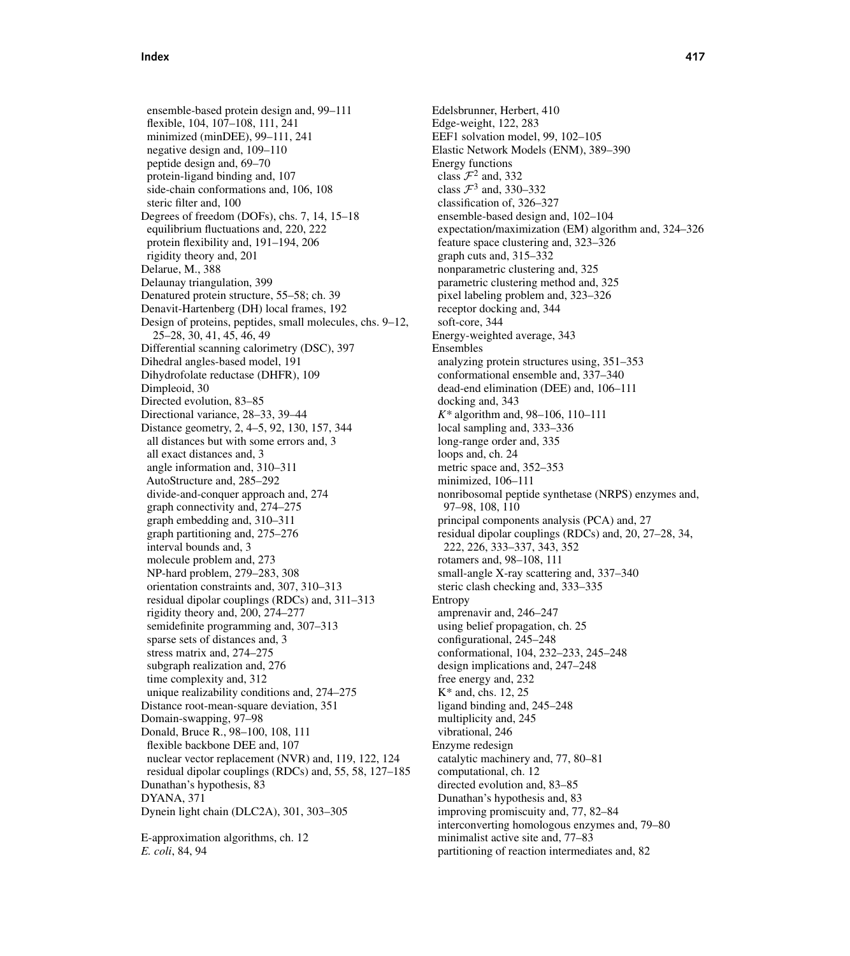ensemble-based protein design and, 99–111 flexible, 104, 107–108, 111, 241 minimized (minDEE), 99–111, 241 negative design and, 109–110 peptide design and, 69–70 protein-ligand binding and, 107 side-chain conformations and, 106, 108 steric filter and, 100 Degrees of freedom (DOFs), chs. 7, 14, 15–18 equilibrium fluctuations and, 220, 222 protein flexibility and, 191–194, 206 rigidity theory and, 201 Delarue, M., 388 Delaunay triangulation, 399 Denatured protein structure, 55–58; ch. 39 Denavit-Hartenberg (DH) local frames, 192 Design of proteins, peptides, small molecules, chs. 9–12, 25–28, 30, 41, 45, 46, 49 Differential scanning calorimetry (DSC), 397 Dihedral angles-based model, 191 Dihydrofolate reductase (DHFR), 109 Dimpleoid, 30 Directed evolution, 83–85 Directional variance, 28–33, 39–44 Distance geometry, 2, 4–5, 92, 130, 157, 344 all distances but with some errors and, 3 all exact distances and, 3 angle information and, 310–311 AutoStructure and, 285–292 divide-and-conquer approach and, 274 graph connectivity and, 274–275 graph embedding and, 310–311 graph partitioning and, 275–276 interval bounds and, 3 molecule problem and, 273 NP-hard problem, 279–283, 308 orientation constraints and, 307, 310–313 residual dipolar couplings (RDCs) and, 311–313 rigidity theory and, 200, 274–277 semidefinite programming and, 307–313 sparse sets of distances and, 3 stress matrix and, 274–275 subgraph realization and, 276 time complexity and, 312 unique realizability conditions and, 274–275 Distance root-mean-square deviation, 351 Domain-swapping, 97–98 Donald, Bruce R., 98–100, 108, 111 flexible backbone DEE and, 107 nuclear vector replacement (NVR) and, 119, 122, 124 residual dipolar couplings (RDCs) and, 55, 58, 127–185 Dunathan's hypothesis, 83 DYANA, 371 Dynein light chain (DLC2A), 301, 303–305

E-approximation algorithms, ch. 12 *E. coli*, 84, 94

Edelsbrunner, Herbert, 410 Edge-weight, 122, 283 EEF1 solvation model, 99, 102–105 Elastic Network Models (ENM), 389–390 Energy functions class  $\mathcal{F}^2$  and, 332 class  $\mathcal{F}^3$  and, 330–332 classification of, 326–327 ensemble-based design and, 102–104 expectation/maximization (EM) algorithm and, 324–326 feature space clustering and, 323–326 graph cuts and, 315–332 nonparametric clustering and, 325 parametric clustering method and, 325 pixel labeling problem and, 323–326 receptor docking and, 344 soft-core, 344 Energy-weighted average, 343 Ensembles analyzing protein structures using, 351–353 conformational ensemble and, 337–340 dead-end elimination (DEE) and, 106–111 docking and, 343 *K\** algorithm and, 98–106, 110–111 local sampling and, 333–336 long-range order and, 335 loops and, ch. 24 metric space and, 352–353 minimized, 106–111 nonribosomal peptide synthetase (NRPS) enzymes and, 97–98, 108, 110 principal components analysis (PCA) and, 27 residual dipolar couplings (RDCs) and, 20, 27–28, 34, 222, 226, 333–337, 343, 352 rotamers and, 98–108, 111 small-angle X-ray scattering and, 337–340 steric clash checking and, 333–335 Entropy amprenavir and, 246–247 using belief propagation, ch. 25 configurational, 245–248 conformational, 104, 232–233, 245–248 design implications and, 247–248 free energy and, 232 K\* and, chs. 12, 25 ligand binding and, 245–248 multiplicity and, 245 vibrational, 246 Enzyme redesign catalytic machinery and, 77, 80–81 computational, ch. 12 directed evolution and, 83–85 Dunathan's hypothesis and, 83 improving promiscuity and, 77, 82–84 interconverting homologous enzymes and, 79–80 minimalist active site and, 77–83 partitioning of reaction intermediates and, 82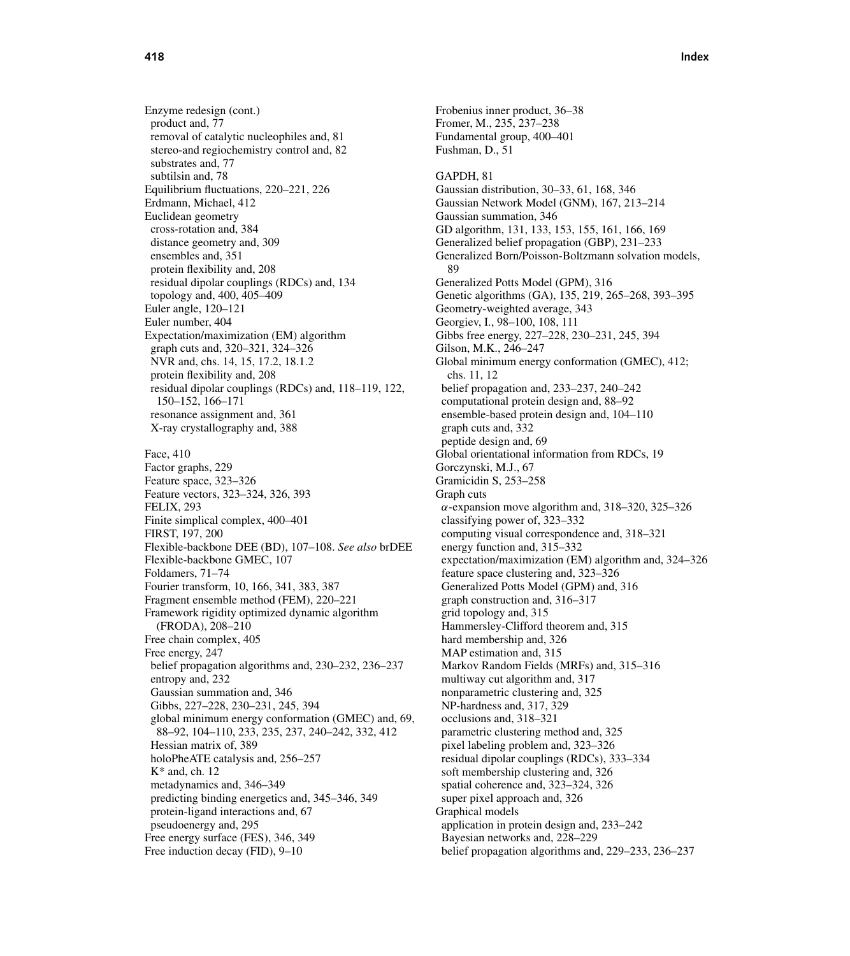Enzyme redesign (cont.) product and, 77 removal of catalytic nucleophiles and, 81 stereo-and regiochemistry control and, 82 substrates and, 77 subtilsin and, 78 Equilibrium fluctuations, 220–221, 226 Erdmann, Michael, 412 Euclidean geometry cross-rotation and, 384 distance geometry and, 309 ensembles and, 351 protein flexibility and, 208 residual dipolar couplings (RDCs) and, 134 topology and, 400, 405–409 Euler angle, 120–121 Euler number, 404 Expectation/maximization (EM) algorithm graph cuts and, 320–321, 324–326 NVR and, chs. 14, 15, 17.2, 18.1.2 protein flexibility and, 208 residual dipolar couplings (RDCs) and, 118–119, 122, 150–152, 166–171 resonance assignment and, 361 X-ray crystallography and, 388 Face, 410 Factor graphs, 229 Feature space, 323–326 Feature vectors, 323–324, 326, 393 FELIX, 293 Finite simplical complex, 400–401 FIRST, 197, 200 Flexible-backbone DEE (BD), 107–108. *See also* brDEE Flexible-backbone GMEC, 107 Foldamers, 71–74 Fourier transform, 10, 166, 341, 383, 387 Fragment ensemble method (FEM), 220–221 Framework rigidity optimized dynamic algorithm (FRODA), 208–210 Free chain complex, 405 Free energy, 247 belief propagation algorithms and, 230–232, 236–237 entropy and, 232 Gaussian summation and, 346 Gibbs, 227–228, 230–231, 245, 394 global minimum energy conformation (GMEC) and, 69, 88–92, 104–110, 233, 235, 237, 240–242, 332, 412 Hessian matrix of, 389 holoPheATE catalysis and, 256–257  $K^*$  and, ch. 12 metadynamics and, 346–349 predicting binding energetics and, 345–346, 349 protein-ligand interactions and, 67 pseudoenergy and, 295 Free energy surface (FES), 346, 349 Free induction decay (FID), 9–10

Fromer, M., 235, 237–238 Fundamental group, 400–401 Fushman, D., 51 GAPDH, 81 Gaussian distribution, 30–33, 61, 168, 346 Gaussian Network Model (GNM), 167, 213–214 Gaussian summation, 346 GD algorithm, 131, 133, 153, 155, 161, 166, 169 Generalized belief propagation (GBP), 231–233 Generalized Born/Poisson-Boltzmann solvation models, 89 Generalized Potts Model (GPM), 316 Genetic algorithms (GA), 135, 219, 265–268, 393–395 Geometry-weighted average, 343 Georgiev, I., 98–100, 108, 111 Gibbs free energy, 227–228, 230–231, 245, 394 Gilson, M.K., 246–247 Global minimum energy conformation (GMEC), 412; chs. 11, 12 belief propagation and, 233–237, 240–242 computational protein design and, 88–92 ensemble-based protein design and, 104–110 graph cuts and, 332 peptide design and, 69 Global orientational information from RDCs, 19 Gorczynski, M.J., 67 Gramicidin S, 253–258 Graph cuts  $\alpha$ -expansion move algorithm and, 318–320, 325–326 classifying power of, 323–332 computing visual correspondence and, 318–321 energy function and, 315–332 expectation/maximization (EM) algorithm and, 324–326 feature space clustering and, 323–326 Generalized Potts Model (GPM) and, 316 graph construction and, 316–317 grid topology and, 315 Hammersley-Clifford theorem and, 315 hard membership and, 326 MAP estimation and, 315 Markov Random Fields (MRFs) and, 315–316 multiway cut algorithm and, 317 nonparametric clustering and, 325 NP-hardness and, 317, 329 occlusions and, 318–321 parametric clustering method and, 325 pixel labeling problem and, 323–326 residual dipolar couplings (RDCs), 333–334 soft membership clustering and, 326 spatial coherence and, 323–324, 326 super pixel approach and, 326 Graphical models application in protein design and, 233–242 Bayesian networks and, 228–229 belief propagation algorithms and, 229–233, 236–237

Frobenius inner product, 36–38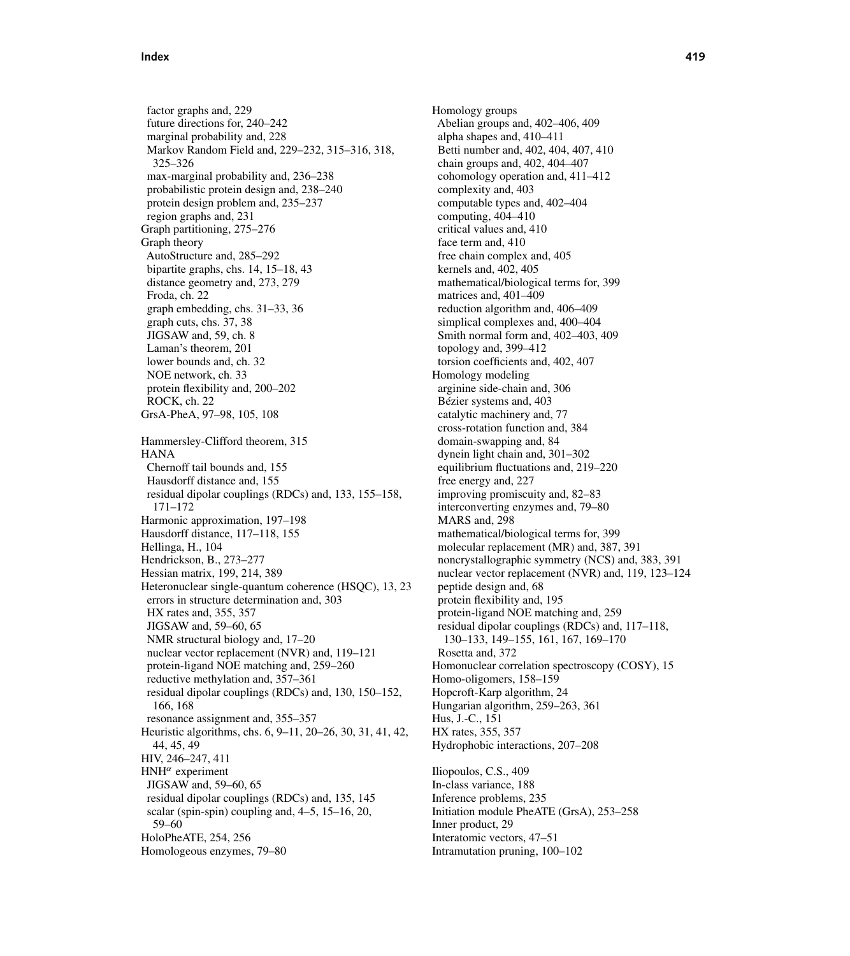factor graphs and, 229 future directions for, 240–242 marginal probability and, 228 Markov Random Field and, 229–232, 315–316, 318, 325–326 max-marginal probability and, 236–238 probabilistic protein design and, 238–240 protein design problem and, 235–237 region graphs and, 231 Graph partitioning, 275–276 Graph theory AutoStructure and, 285–292 bipartite graphs, chs. 14, 15–18, 43 distance geometry and, 273, 279 Froda, ch. 22 graph embedding, chs. 31–33, 36 graph cuts, chs. 37, 38 JIGSAW and, 59, ch. 8 Laman's theorem, 201 lower bounds and, ch. 32 NOE network, ch. 33 protein flexibility and, 200–202 ROCK, ch. 22 GrsA-PheA, 97–98, 105, 108 Hammersley-Clifford theorem, 315 **HANA** Chernoff tail bounds and, 155 Hausdorff distance and, 155 residual dipolar couplings (RDCs) and, 133, 155–158, 171–172 Harmonic approximation, 197–198 Hausdorff distance, 117–118, 155 Hellinga, H., 104 Hendrickson, B., 273–277 Hessian matrix, 199, 214, 389 Heteronuclear single-quantum coherence (HSQC), 13, 23 errors in structure determination and, 303 HX rates and, 355, 357 JIGSAW and, 59–60, 65 NMR structural biology and, 17–20 nuclear vector replacement (NVR) and, 119–121 protein-ligand NOE matching and, 259–260 reductive methylation and, 357–361 residual dipolar couplings (RDCs) and, 130, 150–152, 166, 168 resonance assignment and, 355–357 Heuristic algorithms, chs. 6, 9–11, 20–26, 30, 31, 41, 42, 44, 45, 49 HIV, 246–247, 411  $HMH^{\alpha}$  experiment JIGSAW and, 59–60, 65 residual dipolar couplings (RDCs) and, 135, 145 scalar (spin-spin) coupling and, 4–5, 15–16, 20, 59–60 HoloPheATE, 254, 256 Homologeous enzymes, 79–80

Homology groups Abelian groups and, 402–406, 409 alpha shapes and, 410–411 Betti number and, 402, 404, 407, 410 chain groups and, 402, 404–407 cohomology operation and, 411–412 complexity and, 403 computable types and, 402–404 computing, 404–410 critical values and, 410 face term and, 410 free chain complex and, 405 kernels and, 402, 405 mathematical/biological terms for, 399 matrices and, 401–409 reduction algorithm and, 406–409 simplical complexes and, 400–404 Smith normal form and, 402–403, 409 topology and, 399–412 torsion coefficients and, 402, 407 Homology modeling arginine side-chain and, 306 Bézier systems and, 403 catalytic machinery and, 77 cross-rotation function and, 384 domain-swapping and, 84 dynein light chain and, 301–302 equilibrium fluctuations and, 219–220 free energy and, 227 improving promiscuity and, 82–83 interconverting enzymes and, 79–80 MARS and, 298 mathematical/biological terms for, 399 molecular replacement (MR) and, 387, 391 noncrystallographic symmetry (NCS) and, 383, 391 nuclear vector replacement (NVR) and, 119, 123–124 peptide design and, 68 protein flexibility and, 195 protein-ligand NOE matching and, 259 residual dipolar couplings (RDCs) and, 117–118, 130–133, 149–155, 161, 167, 169–170 Rosetta and, 372 Homonuclear correlation spectroscopy (COSY), 15 Homo-oligomers, 158–159 Hopcroft-Karp algorithm, 24 Hungarian algorithm, 259–263, 361 Hus, J.-C., 151 HX rates, 355, 357 Hydrophobic interactions, 207–208 Iliopoulos, C.S., 409

In-class variance, 188 Inference problems, 235 Initiation module PheATE (GrsA), 253–258 Inner product, 29 Interatomic vectors, 47–51 Intramutation pruning, 100–102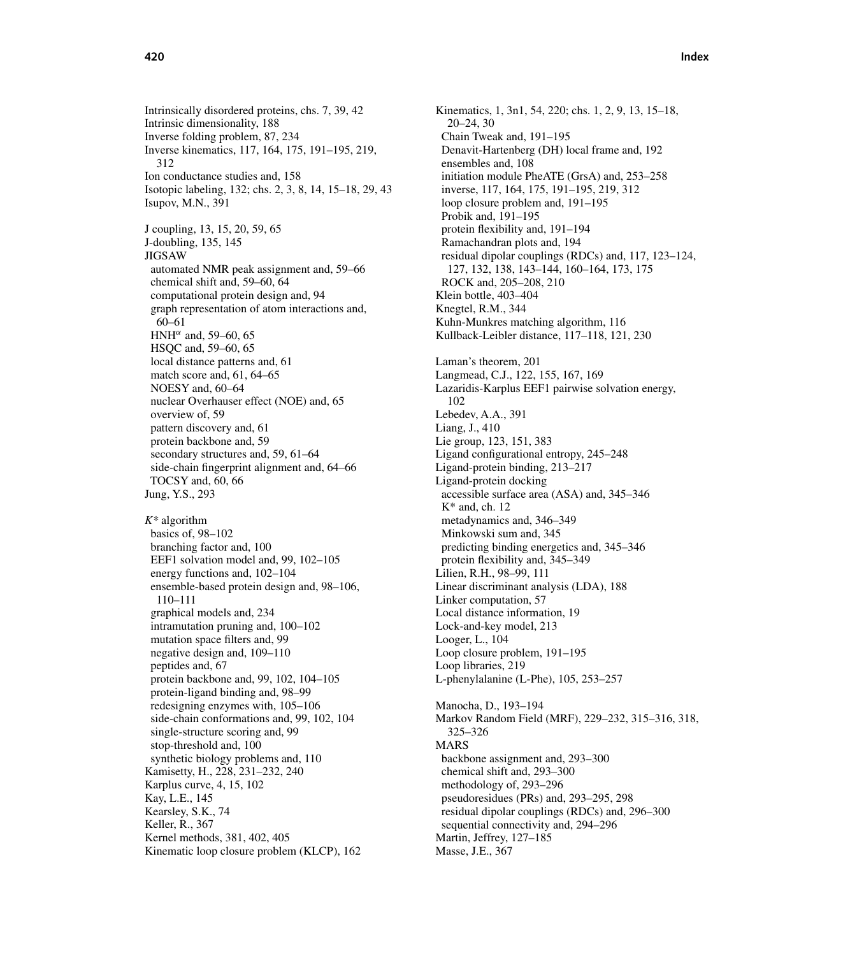Intrinsically disordered proteins, chs. 7, 39, 42 Intrinsic dimensionality, 188 Inverse folding problem, 87, 234 Inverse kinematics, 117, 164, 175, 191–195, 219, 312 Ion conductance studies and, 158 Isotopic labeling, 132; chs. 2, 3, 8, 14, 15–18, 29, 43 Isupov, M.N., 391 J coupling, 13, 15, 20, 59, 65 J-doubling, 135, 145 JIGSAW automated NMR peak assignment and, 59–66 chemical shift and, 59–60, 64 computational protein design and, 94 graph representation of atom interactions and, 60–61 HNH<sup> $\alpha$ </sup> and, 59–60, 65 HSQC and, 59–60, 65 local distance patterns and, 61 match score and, 61, 64–65 NOESY and, 60–64 nuclear Overhauser effect (NOE) and, 65 overview of, 59 pattern discovery and, 61 protein backbone and, 59 secondary structures and, 59, 61–64 side-chain fingerprint alignment and, 64–66 TOCSY and, 60, 66 Jung, Y.S., 293 *K\** algorithm basics of, 98–102 branching factor and, 100

EEF1 solvation model and, 99, 102–105 energy functions and, 102–104 ensemble-based protein design and, 98–106, 110–111 graphical models and, 234 intramutation pruning and, 100–102 mutation space filters and, 99 negative design and, 109–110 peptides and, 67 protein backbone and, 99, 102, 104–105 protein-ligand binding and, 98–99 redesigning enzymes with, 105–106 side-chain conformations and, 99, 102, 104 single-structure scoring and, 99 stop-threshold and, 100 synthetic biology problems and, 110 Kamisetty, H., 228, 231–232, 240 Karplus curve, 4, 15, 102 Kay, L.E., 145 Kearsley, S.K., 74 Keller, R., 367 Kernel methods, 381, 402, 405 Kinematic loop closure problem (KLCP), 162

Kinematics, 1, 3n1, 54, 220; chs. 1, 2, 9, 13, 15–18, 20–24, 30 Chain Tweak and, 191–195 Denavit-Hartenberg (DH) local frame and, 192 ensembles and, 108 initiation module PheATE (GrsA) and, 253–258 inverse, 117, 164, 175, 191–195, 219, 312 loop closure problem and, 191–195 Probik and, 191–195 protein flexibility and, 191–194 Ramachandran plots and, 194 residual dipolar couplings (RDCs) and, 117, 123–124, 127, 132, 138, 143–144, 160–164, 173, 175 ROCK and, 205–208, 210 Klein bottle, 403–404 Knegtel, R.M., 344 Kuhn-Munkres matching algorithm, 116 Kullback-Leibler distance, 117–118, 121, 230 Laman's theorem, 201 Langmead, C.J., 122, 155, 167, 169 Lazaridis-Karplus EEF1 pairwise solvation energy, 102 Lebedev, A.A., 391 Liang, J., 410 Lie group, 123, 151, 383 Ligand configurational entropy, 245–248 Ligand-protein binding, 213–217 Ligand-protein docking accessible surface area (ASA) and, 345–346  $K^*$  and, ch. 12 metadynamics and, 346–349 Minkowski sum and, 345 predicting binding energetics and, 345–346 protein flexibility and, 345–349 Lilien, R.H., 98–99, 111 Linear discriminant analysis (LDA), 188 Linker computation, 57 Local distance information, 19 Lock-and-key model, 213 Looger, L., 104 Loop closure problem, 191–195 Loop libraries, 219 L-phenylalanine (L-Phe), 105, 253–257 Manocha, D., 193–194 Markov Random Field (MRF), 229–232, 315–316, 318, 325–326 MARS backbone assignment and, 293–300 chemical shift and, 293–300 methodology of, 293–296 pseudoresidues (PRs) and, 293–295, 298 residual dipolar couplings (RDCs) and, 296–300 sequential connectivity and, 294–296 Martin, Jeffrey, 127–185 Masse, J.E., 367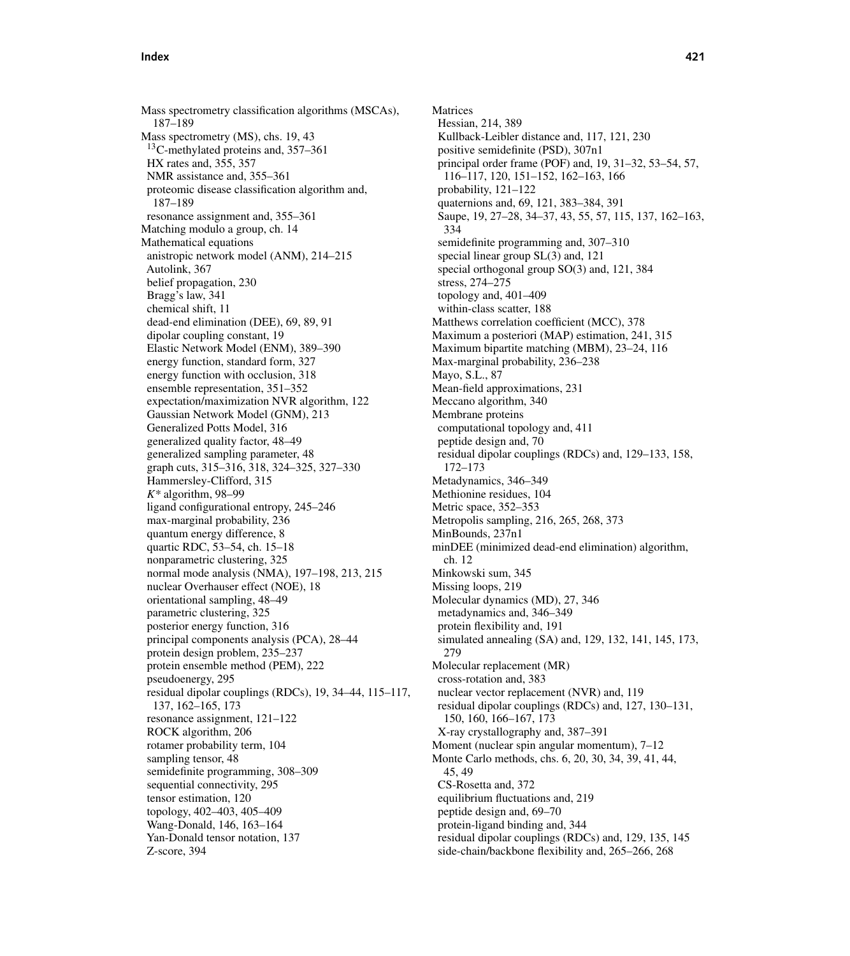Mass spectrometry classification algorithms (MSCAs), 187–189 Mass spectrometry (MS), chs. 19, 43 13C-methylated proteins and, 357–361 HX rates and, 355, 357 NMR assistance and, 355–361 proteomic disease classification algorithm and, 187–189 resonance assignment and, 355–361 Matching modulo a group, ch. 14 Mathematical equations anistropic network model (ANM), 214–215 Autolink, 367 belief propagation, 230 Bragg's law, 341 chemical shift, 11 dead-end elimination (DEE), 69, 89, 91 dipolar coupling constant, 19 Elastic Network Model (ENM), 389–390 energy function, standard form, 327 energy function with occlusion, 318 ensemble representation, 351–352 expectation/maximization NVR algorithm, 122 Gaussian Network Model (GNM), 213 Generalized Potts Model, 316 generalized quality factor, 48–49 generalized sampling parameter, 48 graph cuts, 315–316, 318, 324–325, 327–330 Hammersley-Clifford, 315 *K\** algorithm, 98–99 ligand configurational entropy, 245–246 max-marginal probability, 236 quantum energy difference, 8 quartic RDC, 53–54, ch. 15–18 nonparametric clustering, 325 normal mode analysis (NMA), 197–198, 213, 215 nuclear Overhauser effect (NOE), 18 orientational sampling, 48–49 parametric clustering, 325 posterior energy function, 316 principal components analysis (PCA), 28–44 protein design problem, 235–237 protein ensemble method (PEM), 222 pseudoenergy, 295 residual dipolar couplings (RDCs), 19, 34–44, 115–117, 137, 162–165, 173 resonance assignment, 121–122 ROCK algorithm, 206 rotamer probability term, 104 sampling tensor, 48 semidefinite programming, 308–309 sequential connectivity, 295 tensor estimation, 120 topology, 402–403, 405–409 Wang-Donald, 146, 163–164 Yan-Donald tensor notation, 137 Z-score, 394

Matrices Hessian, 214, 389 Kullback-Leibler distance and, 117, 121, 230 positive semidefinite (PSD), 307n1 principal order frame (POF) and, 19, 31–32, 53–54, 57, 116–117, 120, 151–152, 162–163, 166 probability, 121–122 quaternions and, 69, 121, 383–384, 391 Saupe, 19, 27–28, 34–37, 43, 55, 57, 115, 137, 162–163, 334 semidefinite programming and, 307–310 special linear group SL(3) and, 121 special orthogonal group SO(3) and, 121, 384 stress, 274–275 topology and, 401–409 within-class scatter, 188 Matthews correlation coefficient (MCC), 378 Maximum a posteriori (MAP) estimation, 241, 315 Maximum bipartite matching (MBM), 23–24, 116 Max-marginal probability, 236–238 Mayo, S.L., 87 Mean-field approximations, 231 Meccano algorithm, 340 Membrane proteins computational topology and, 411 peptide design and, 70 residual dipolar couplings (RDCs) and, 129–133, 158, 172–173 Metadynamics, 346–349 Methionine residues, 104 Metric space, 352–353 Metropolis sampling, 216, 265, 268, 373 MinBounds, 237n1 minDEE (minimized dead-end elimination) algorithm, ch. 12 Minkowski sum, 345 Missing loops, 219 Molecular dynamics (MD), 27, 346 metadynamics and, 346–349 protein flexibility and, 191 simulated annealing (SA) and, 129, 132, 141, 145, 173, 279 Molecular replacement (MR) cross-rotation and, 383 nuclear vector replacement (NVR) and, 119 residual dipolar couplings (RDCs) and, 127, 130–131, 150, 160, 166–167, 173 X-ray crystallography and, 387–391 Moment (nuclear spin angular momentum), 7–12 Monte Carlo methods, chs. 6, 20, 30, 34, 39, 41, 44, 45, 49 CS-Rosetta and, 372 equilibrium fluctuations and, 219 peptide design and, 69–70 protein-ligand binding and, 344 residual dipolar couplings (RDCs) and, 129, 135, 145 side-chain/backbone flexibility and, 265–266, 268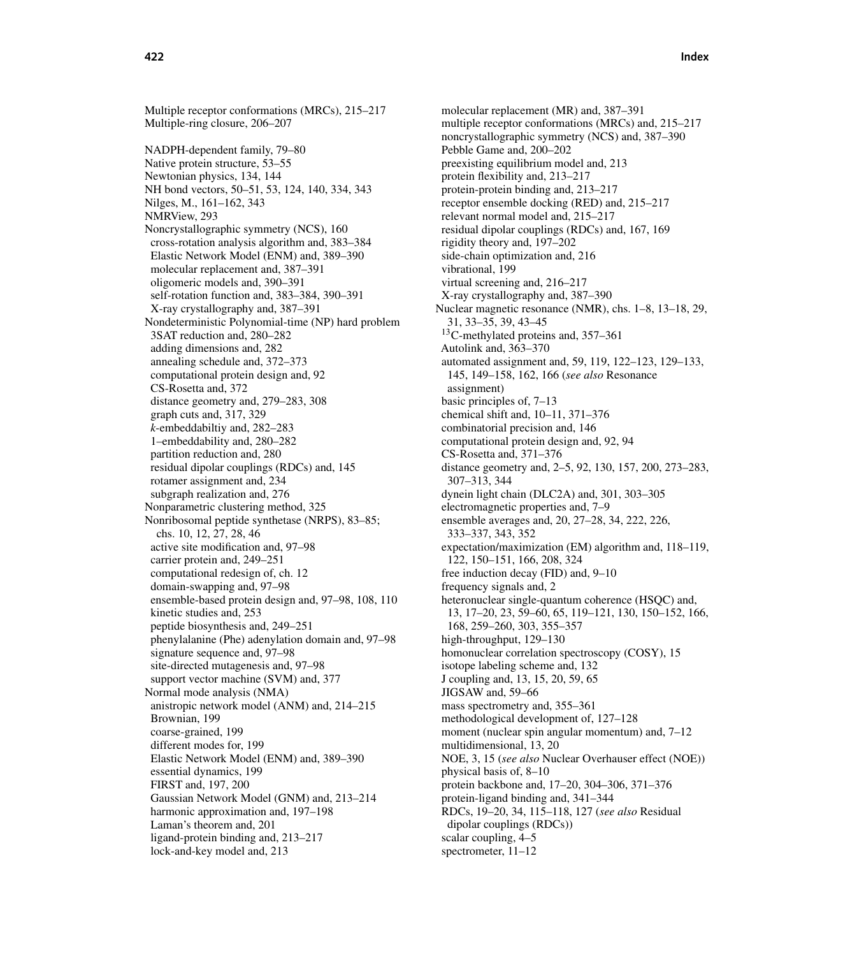Multiple receptor conformations (MRCs), 215–217 Multiple-ring closure, 206–207 NADPH-dependent family, 79–80 Native protein structure, 53–55 Newtonian physics, 134, 144

NH bond vectors, 50–51, 53, 124, 140, 334, 343 Nilges, M., 161–162, 343 NMRView, 293 Noncrystallographic symmetry (NCS), 160 cross-rotation analysis algorithm and, 383–384 Elastic Network Model (ENM) and, 389–390 molecular replacement and, 387–391 oligomeric models and, 390–391 self-rotation function and, 383–384, 390–391 X-ray crystallography and, 387–391 Nondeterministic Polynomial-time (NP) hard problem 3SAT reduction and, 280–282 adding dimensions and, 282 annealing schedule and, 372–373 computational protein design and, 92 CS-Rosetta and, 372 distance geometry and, 279–283, 308 graph cuts and, 317, 329 *k*-embeddabiltiy and, 282–283 1–embeddability and, 280–282 partition reduction and, 280 residual dipolar couplings (RDCs) and, 145 rotamer assignment and, 234 subgraph realization and, 276 Nonparametric clustering method, 325 Nonribosomal peptide synthetase (NRPS), 83–85; chs. 10, 12, 27, 28, 46 active site modification and, 97–98 carrier protein and, 249–251 computational redesign of, ch. 12 domain-swapping and, 97–98 ensemble-based protein design and, 97–98, 108, 110 kinetic studies and, 253 peptide biosynthesis and, 249–251 phenylalanine (Phe) adenylation domain and, 97–98 signature sequence and, 97–98 site-directed mutagenesis and, 97–98 support vector machine (SVM) and, 377 Normal mode analysis (NMA) anistropic network model (ANM) and, 214–215 Brownian, 199 coarse-grained, 199 different modes for, 199 Elastic Network Model (ENM) and, 389–390 essential dynamics, 199 FIRST and, 197, 200 Gaussian Network Model (GNM) and, 213–214 harmonic approximation and, 197–198 Laman's theorem and, 201 ligand-protein binding and, 213–217 lock-and-key model and, 213

molecular replacement (MR) and, 387–391 multiple receptor conformations (MRCs) and, 215–217 noncrystallographic symmetry (NCS) and, 387–390 Pebble Game and, 200–202 preexisting equilibrium model and, 213 protein flexibility and, 213–217 protein-protein binding and, 213–217 receptor ensemble docking (RED) and, 215–217 relevant normal model and, 215–217 residual dipolar couplings (RDCs) and, 167, 169 rigidity theory and, 197–202 side-chain optimization and, 216 vibrational, 199 virtual screening and, 216–217 X-ray crystallography and, 387–390 Nuclear magnetic resonance (NMR), chs. 1–8, 13–18, 29, 31, 33–35, 39, 43–45 <sup>13</sup>C-methylated proteins and, 357–361 Autolink and, 363–370 automated assignment and, 59, 119, 122–123, 129–133, 145, 149–158, 162, 166 (*see also* Resonance assignment) basic principles of, 7–13 chemical shift and, 10–11, 371–376 combinatorial precision and, 146 computational protein design and, 92, 94 CS-Rosetta and, 371–376 distance geometry and, 2–5, 92, 130, 157, 200, 273–283, 307–313, 344 dynein light chain (DLC2A) and, 301, 303–305 electromagnetic properties and, 7–9 ensemble averages and, 20, 27–28, 34, 222, 226, 333–337, 343, 352 expectation/maximization (EM) algorithm and, 118–119, 122, 150–151, 166, 208, 324 free induction decay (FID) and, 9–10 frequency signals and, 2 heteronuclear single-quantum coherence (HSQC) and, 13, 17–20, 23, 59–60, 65, 119–121, 130, 150–152, 166, 168, 259–260, 303, 355–357 high-throughput, 129–130 homonuclear correlation spectroscopy (COSY), 15 isotope labeling scheme and, 132 J coupling and, 13, 15, 20, 59, 65 JIGSAW and, 59–66 mass spectrometry and, 355–361 methodological development of, 127–128 moment (nuclear spin angular momentum) and,  $7-12$ multidimensional, 13, 20 NOE, 3, 15 (*see also* Nuclear Overhauser effect (NOE)) physical basis of, 8–10 protein backbone and, 17–20, 304–306, 371–376 protein-ligand binding and, 341–344 RDCs, 19–20, 34, 115–118, 127 (*see also* Residual dipolar couplings (RDCs)) scalar coupling, 4–5 spectrometer, 11–12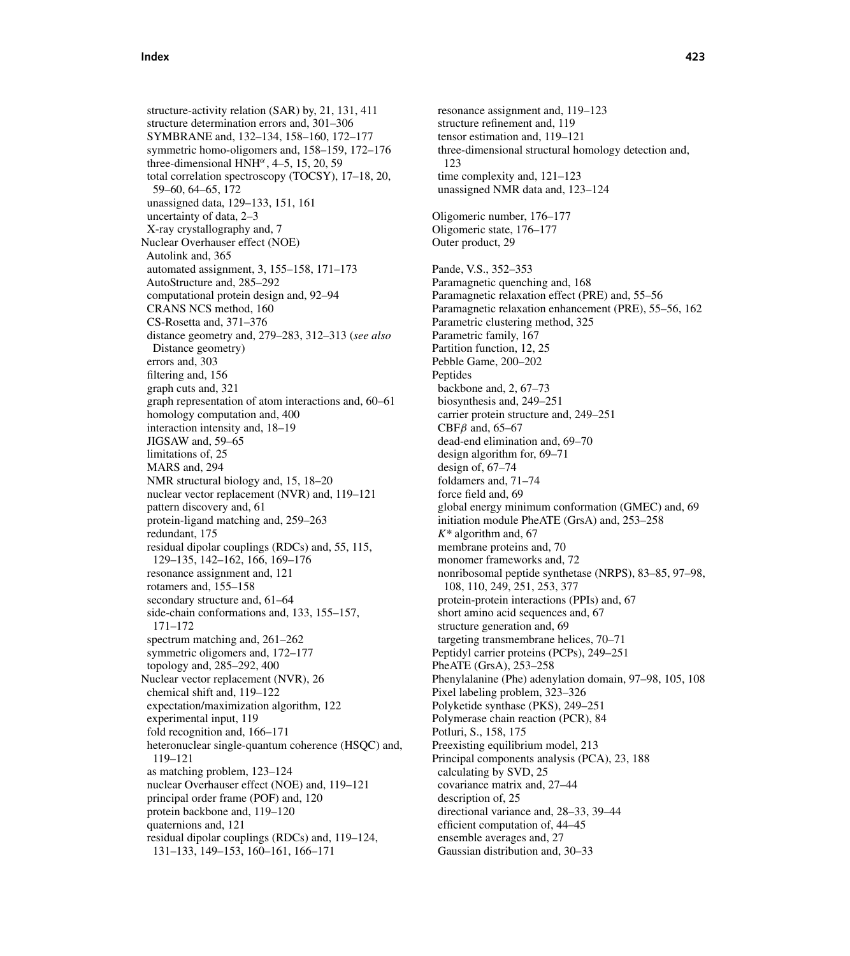structure-activity relation (SAR) by, 21, 131, 411 structure determination errors and, 301–306 SYMBRANE and, 132–134, 158–160, 172–177 symmetric homo-oligomers and, 158–159, 172–176 three-dimensional HNH $\alpha$ , 4–5, 15, 20, 59 total correlation spectroscopy (TOCSY), 17–18, 20, 59–60, 64–65, 172 unassigned data, 129–133, 151, 161 uncertainty of data, 2–3 X-ray crystallography and, 7 Nuclear Overhauser effect (NOE) Autolink and, 365 automated assignment, 3, 155–158, 171–173 AutoStructure and, 285–292 computational protein design and, 92–94 CRANS NCS method, 160 CS-Rosetta and, 371–376 distance geometry and, 279–283, 312–313 (*see also* Distance geometry) errors and, 303 filtering and, 156 graph cuts and, 321 graph representation of atom interactions and, 60–61 homology computation and, 400 interaction intensity and, 18–19 JIGSAW and, 59–65 limitations of, 25 MARS and, 294 NMR structural biology and, 15, 18–20 nuclear vector replacement (NVR) and, 119–121 pattern discovery and, 61 protein-ligand matching and, 259–263 redundant, 175 residual dipolar couplings (RDCs) and, 55, 115, 129–135, 142–162, 166, 169–176 resonance assignment and, 121 rotamers and, 155–158 secondary structure and, 61–64 side-chain conformations and, 133, 155–157, 171–172 spectrum matching and, 261–262 symmetric oligomers and, 172–177 topology and, 285–292, 400 Nuclear vector replacement (NVR), 26 chemical shift and, 119–122 expectation/maximization algorithm, 122 experimental input, 119 fold recognition and, 166–171 heteronuclear single-quantum coherence (HSQC) and, 119–121 as matching problem, 123–124 nuclear Overhauser effect (NOE) and, 119–121 principal order frame (POF) and, 120 protein backbone and, 119–120 quaternions and, 121 residual dipolar couplings (RDCs) and, 119–124, 131–133, 149–153, 160–161, 166–171

resonance assignment and, 119–123 structure refinement and, 119 tensor estimation and, 119–121 three-dimensional structural homology detection and, 123 time complexity and, 121–123 unassigned NMR data and, 123–124 Oligomeric number, 176–177 Oligomeric state, 176–177 Outer product, 29 Pande, V.S., 352–353 Paramagnetic quenching and, 168 Paramagnetic relaxation effect (PRE) and, 55–56 Paramagnetic relaxation enhancement (PRE), 55–56, 162 Parametric clustering method, 325 Parametric family, 167 Partition function, 12, 25 Pebble Game, 200–202 Peptides backbone and, 2, 67–73 biosynthesis and, 249–251 carrier protein structure and, 249–251 CBF $\beta$  and, 65–67 dead-end elimination and, 69–70 design algorithm for, 69–71 design of, 67–74 foldamers and, 71–74 force field and, 69 global energy minimum conformation (GMEC) and, 69 initiation module PheATE (GrsA) and, 253–258 *K\** algorithm and, 67 membrane proteins and, 70 monomer frameworks and, 72 nonribosomal peptide synthetase (NRPS), 83–85, 97–98, 108, 110, 249, 251, 253, 377 protein-protein interactions (PPIs) and, 67 short amino acid sequences and, 67 structure generation and, 69 targeting transmembrane helices, 70–71 Peptidyl carrier proteins (PCPs), 249–251 PheATE (GrsA), 253–258 Phenylalanine (Phe) adenylation domain, 97–98, 105, 108 Pixel labeling problem, 323–326 Polyketide synthase (PKS), 249–251 Polymerase chain reaction (PCR), 84 Potluri, S., 158, 175 Preexisting equilibrium model, 213 Principal components analysis (PCA), 23, 188 calculating by SVD, 25 covariance matrix and, 27–44 description of, 25 directional variance and, 28–33, 39–44 efficient computation of, 44–45 ensemble averages and, 27 Gaussian distribution and, 30–33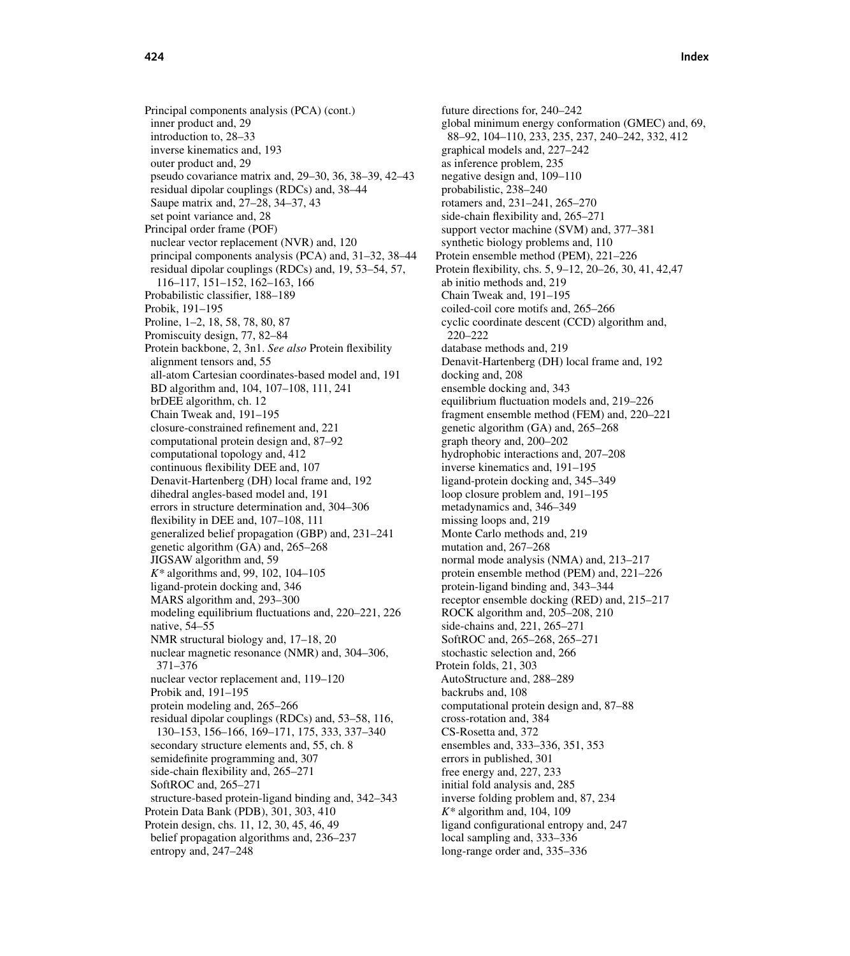**424 Index**

Principal components analysis (PCA) (cont.) inner product and, 29 introduction to, 28–33 inverse kinematics and, 193 outer product and, 29 pseudo covariance matrix and, 29–30, 36, 38–39, 42–43 residual dipolar couplings (RDCs) and, 38–44 Saupe matrix and, 27–28, 34–37, 43 set point variance and, 28 Principal order frame (POF) nuclear vector replacement (NVR) and, 120 principal components analysis (PCA) and, 31–32, 38–44 residual dipolar couplings (RDCs) and, 19, 53–54, 57, 116–117, 151–152, 162–163, 166 Probabilistic classifier, 188–189 Probik, 191–195 Proline, 1–2, 18, 58, 78, 80, 87 Promiscuity design, 77, 82–84 Protein backbone, 2, 3n1. *See also* Protein flexibility alignment tensors and, 55 all-atom Cartesian coordinates-based model and, 191 BD algorithm and, 104, 107–108, 111, 241 brDEE algorithm, ch. 12 Chain Tweak and, 191–195 closure-constrained refinement and, 221 computational protein design and, 87–92 computational topology and, 412 continuous flexibility DEE and, 107 Denavit-Hartenberg (DH) local frame and, 192 dihedral angles-based model and, 191 errors in structure determination and, 304–306 flexibility in DEE and, 107–108, 111 generalized belief propagation (GBP) and, 231–241 genetic algorithm (GA) and, 265–268 JIGSAW algorithm and, 59 *K\** algorithms and, 99, 102, 104–105 ligand-protein docking and, 346 MARS algorithm and, 293–300 modeling equilibrium fluctuations and, 220–221, 226 native, 54–55 NMR structural biology and, 17–18, 20 nuclear magnetic resonance (NMR) and, 304–306, 371–376 nuclear vector replacement and, 119–120 Probik and, 191–195 protein modeling and, 265–266 residual dipolar couplings (RDCs) and, 53–58, 116, 130–153, 156–166, 169–171, 175, 333, 337–340 secondary structure elements and, 55, ch. 8 semidefinite programming and, 307 side-chain flexibility and, 265–271 SoftROC and, 265–271 structure-based protein-ligand binding and, 342–343 Protein Data Bank (PDB), 301, 303, 410 Protein design, chs. 11, 12, 30, 45, 46, 49 belief propagation algorithms and, 236–237 entropy and, 247–248

future directions for, 240–242 global minimum energy conformation (GMEC) and, 69, 88–92, 104–110, 233, 235, 237, 240–242, 332, 412 graphical models and, 227–242 as inference problem, 235 negative design and, 109–110 probabilistic, 238–240 rotamers and, 231–241, 265–270 side-chain flexibility and, 265–271 support vector machine (SVM) and, 377–381 synthetic biology problems and, 110 Protein ensemble method (PEM), 221–226 Protein flexibility, chs. 5, 9–12, 20–26, 30, 41, 42,47 ab initio methods and, 219 Chain Tweak and, 191–195 coiled-coil core motifs and, 265–266 cyclic coordinate descent (CCD) algorithm and, 220–222 database methods and, 219 Denavit-Hartenberg (DH) local frame and, 192 docking and, 208 ensemble docking and, 343 equilibrium fluctuation models and, 219–226 fragment ensemble method (FEM) and, 220–221 genetic algorithm (GA) and, 265–268 graph theory and, 200–202 hydrophobic interactions and, 207–208 inverse kinematics and, 191–195 ligand-protein docking and, 345–349 loop closure problem and, 191–195 metadynamics and, 346–349 missing loops and, 219 Monte Carlo methods and, 219 mutation and, 267–268 normal mode analysis (NMA) and, 213–217 protein ensemble method (PEM) and, 221–226 protein-ligand binding and, 343–344 receptor ensemble docking (RED) and, 215–217 ROCK algorithm and, 205–208, 210 side-chains and, 221, 265–271 SoftROC and, 265–268, 265–271 stochastic selection and, 266 Protein folds, 21, 303 AutoStructure and, 288–289 backrubs and, 108 computational protein design and, 87–88 cross-rotation and, 384 CS-Rosetta and, 372 ensembles and, 333–336, 351, 353 errors in published, 301 free energy and, 227, 233 initial fold analysis and, 285 inverse folding problem and, 87, 234 *K\** algorithm and, 104, 109 ligand configurational entropy and, 247 local sampling and, 333–336 long-range order and, 335–336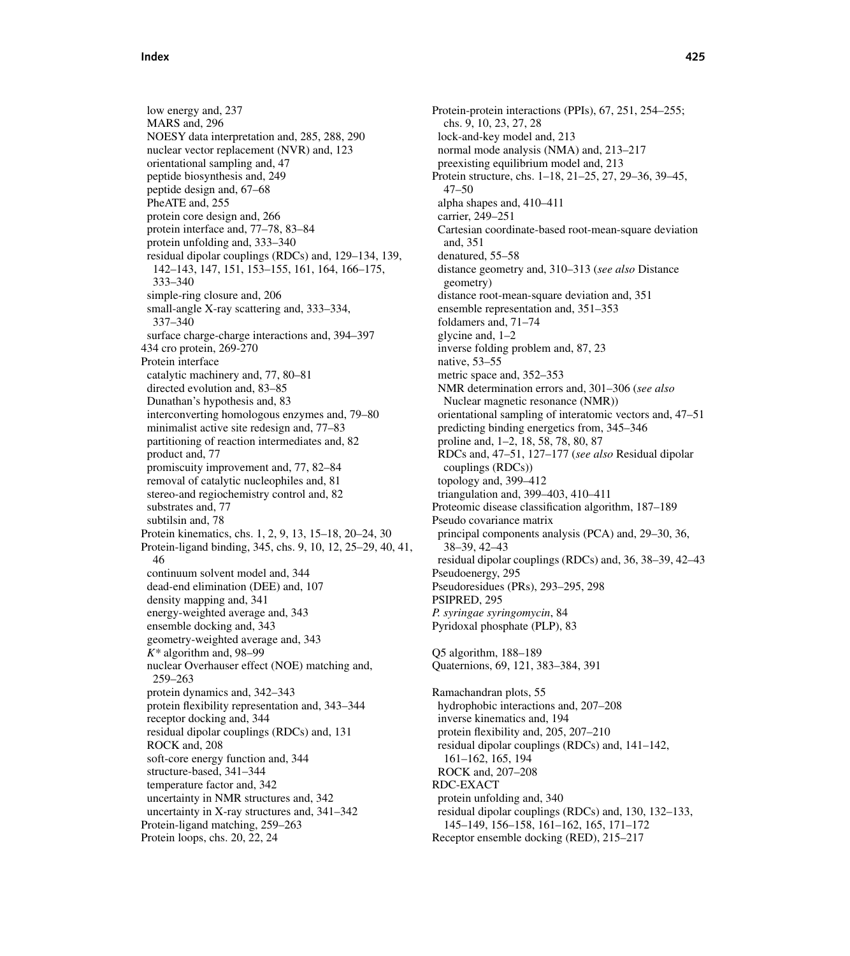low energy and, 237 MARS and, 296 NOESY data interpretation and, 285, 288, 290 nuclear vector replacement (NVR) and, 123 orientational sampling and, 47 peptide biosynthesis and, 249 peptide design and, 67–68 PheATE and, 255 protein core design and, 266 protein interface and, 77–78, 83–84 protein unfolding and, 333–340 residual dipolar couplings (RDCs) and, 129–134, 139, 142–143, 147, 151, 153–155, 161, 164, 166–175, 333–340 simple-ring closure and, 206 small-angle X-ray scattering and, 333–334, 337–340 surface charge-charge interactions and, 394–397 434 cro protein, 269-270 Protein interface catalytic machinery and, 77, 80–81 directed evolution and, 83–85 Dunathan's hypothesis and, 83 interconverting homologous enzymes and, 79–80 minimalist active site redesign and, 77–83 partitioning of reaction intermediates and, 82 product and, 77 promiscuity improvement and, 77, 82–84 removal of catalytic nucleophiles and, 81 stereo-and regiochemistry control and, 82 substrates and, 77 subtilsin and, 78 Protein kinematics, chs. 1, 2, 9, 13, 15–18, 20–24, 30 Protein-ligand binding, 345, chs. 9, 10, 12, 25–29, 40, 41, 46 continuum solvent model and, 344 dead-end elimination (DEE) and, 107 density mapping and, 341 energy-weighted average and, 343 ensemble docking and, 343 geometry-weighted average and, 343 *K\** algorithm and, 98–99 nuclear Overhauser effect (NOE) matching and, 259–263 protein dynamics and, 342–343 protein flexibility representation and, 343–344 receptor docking and, 344 residual dipolar couplings (RDCs) and, 131 ROCK and, 208 soft-core energy function and, 344 structure-based, 341–344 temperature factor and, 342 uncertainty in NMR structures and, 342 uncertainty in X-ray structures and, 341–342 Protein-ligand matching, 259–263 Protein loops, chs. 20, 22, 24

Protein-protein interactions (PPIs), 67, 251, 254–255; chs. 9, 10, 23, 27, 28 lock-and-key model and, 213 normal mode analysis (NMA) and, 213–217 preexisting equilibrium model and, 213 Protein structure, chs. 1–18, 21–25, 27, 29–36, 39–45, 47–50 alpha shapes and, 410–411 carrier, 249–251 Cartesian coordinate-based root-mean-square deviation and, 351 denatured, 55–58 distance geometry and, 310–313 (*see also* Distance geometry) distance root-mean-square deviation and, 351 ensemble representation and, 351–353 foldamers and, 71–74 glycine and, 1–2 inverse folding problem and, 87, 23 native, 53–55 metric space and, 352–353 NMR determination errors and, 301–306 (*see also* Nuclear magnetic resonance (NMR)) orientational sampling of interatomic vectors and, 47–51 predicting binding energetics from, 345–346 proline and, 1–2, 18, 58, 78, 80, 87 RDCs and, 47–51, 127–177 (*see also* Residual dipolar couplings (RDCs)) topology and, 399–412 triangulation and, 399–403, 410–411 Proteomic disease classification algorithm, 187–189 Pseudo covariance matrix principal components analysis (PCA) and, 29–30, 36, 38–39, 42–43 residual dipolar couplings (RDCs) and, 36, 38–39, 42–43 Pseudoenergy, 295 Pseudoresidues (PRs), 293–295, 298 PSIPRED, 295 *P. syringae syringomycin*, 84 Pyridoxal phosphate (PLP), 83 Q5 algorithm, 188–189 Quaternions, 69, 121, 383–384, 391 Ramachandran plots, 55 hydrophobic interactions and, 207–208 inverse kinematics and, 194 protein flexibility and, 205, 207–210 residual dipolar couplings (RDCs) and, 141–142, 161–162, 165, 194 ROCK and, 207–208 RDC-EXACT protein unfolding and, 340 residual dipolar couplings (RDCs) and, 130, 132–133, 145–149, 156–158, 161–162, 165, 171–172 Receptor ensemble docking (RED), 215–217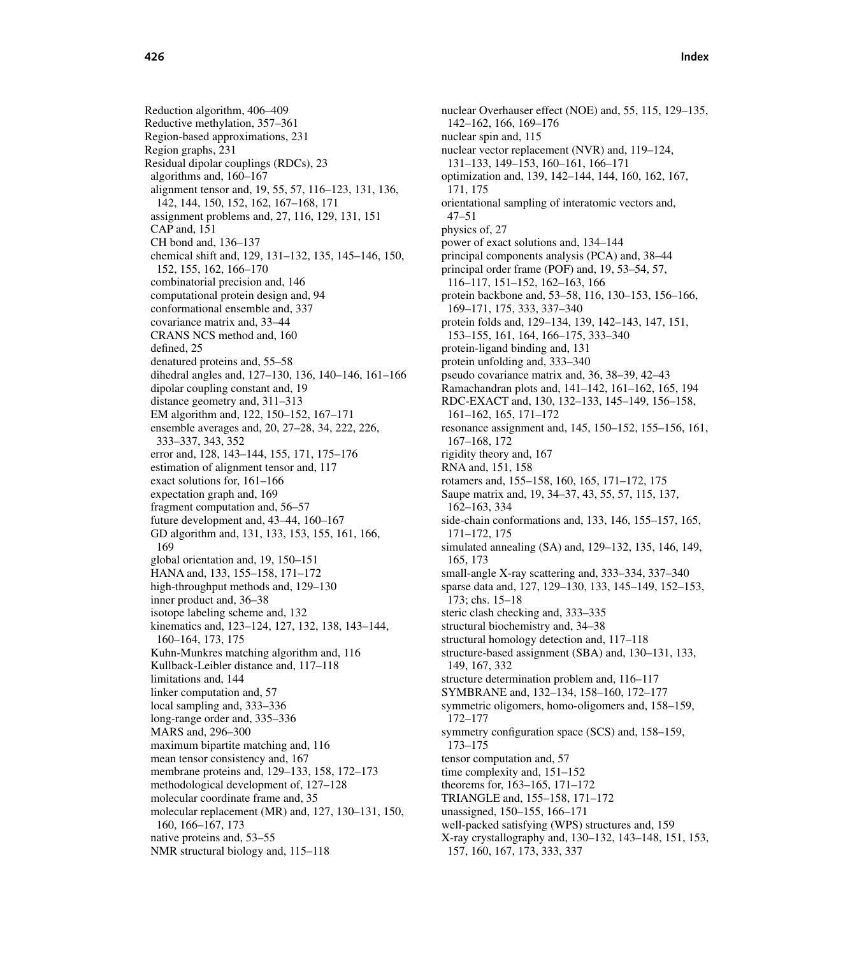Reduction algorithm, 406–409 Reductive methylation, 357–361 Region-based approximations, 231 Region graphs, 231 Residual dipolar couplings (RDCs), 23 algorithms and, 160–167 alignment tensor and, 19, 55, 57, 116–123, 131, 136, 142, 144, 150, 152, 162, 167–168, 171 assignment problems and, 27, 116, 129, 131, 151 CAP and, 151 CH bond and, 136–137 chemical shift and, 129, 131–132, 135, 145–146, 150, 152, 155, 162, 166–170 combinatorial precision and, 146 computational protein design and, 94 conformational ensemble and, 337 covariance matrix and, 33–44 CRANS NCS method and, 160 defined, 25 denatured proteins and, 55–58 dihedral angles and, 127–130, 136, 140–146, 161–166 dipolar coupling constant and, 19 distance geometry and, 311–313 EM algorithm and, 122, 150–152, 167–171 ensemble averages and, 20, 27–28, 34, 222, 226, 333–337, 343, 352 error and, 128, 143–144, 155, 171, 175–176 estimation of alignment tensor and, 117 exact solutions for, 161–166 expectation graph and, 169 fragment computation and, 56–57 future development and, 43–44, 160–167 GD algorithm and, 131, 133, 153, 155, 161, 166, 169 global orientation and, 19, 150–151 HANA and, 133, 155–158, 171–172 high-throughput methods and, 129–130 inner product and, 36–38 isotope labeling scheme and, 132 kinematics and, 123–124, 127, 132, 138, 143–144, 160–164, 173, 175 Kuhn-Munkres matching algorithm and, 116 Kullback-Leibler distance and, 117–118 limitations and, 144 linker computation and, 57 local sampling and, 333–336 long-range order and, 335–336 MARS and, 296–300 maximum bipartite matching and, 116 mean tensor consistency and, 167 membrane proteins and, 129–133, 158, 172–173 methodological development of, 127–128 molecular coordinate frame and, 35 molecular replacement (MR) and, 127, 130–131, 150, 160, 166–167, 173 native proteins and, 53–55 NMR structural biology and, 115–118

nuclear Overhauser effect (NOE) and, 55, 115, 129–135, 142–162, 166, 169–176 nuclear spin and, 115 nuclear vector replacement (NVR) and, 119–124, 131–133, 149–153, 160–161, 166–171 optimization and, 139, 142–144, 144, 160, 162, 167, 171, 175 orientational sampling of interatomic vectors and, 47–51 physics of, 27 power of exact solutions and, 134–144 principal components analysis (PCA) and, 38–44 principal order frame (POF) and, 19, 53–54, 57, 116–117, 151–152, 162–163, 166 protein backbone and, 53–58, 116, 130–153, 156–166, 169–171, 175, 333, 337–340 protein folds and, 129–134, 139, 142–143, 147, 151, 153–155, 161, 164, 166–175, 333–340 protein-ligand binding and, 131 protein unfolding and, 333–340 pseudo covariance matrix and, 36, 38–39, 42–43 Ramachandran plots and, 141–142, 161–162, 165, 194 RDC-EXACT and, 130, 132–133, 145–149, 156–158, 161–162, 165, 171–172 resonance assignment and, 145, 150–152, 155–156, 161, 167–168, 172 rigidity theory and, 167 RNA and, 151, 158 rotamers and, 155–158, 160, 165, 171–172, 175 Saupe matrix and, 19, 34–37, 43, 55, 57, 115, 137, 162–163, 334 side-chain conformations and, 133, 146, 155–157, 165, 171–172, 175 simulated annealing (SA) and, 129–132, 135, 146, 149, 165, 173 small-angle X-ray scattering and, 333–334, 337–340 sparse data and, 127, 129–130, 133, 145–149, 152–153, 173; chs. 15–18 steric clash checking and, 333–335 structural biochemistry and, 34–38 structural homology detection and, 117–118 structure-based assignment (SBA) and, 130–131, 133, 149, 167, 332 structure determination problem and, 116–117 SYMBRANE and, 132–134, 158–160, 172–177 symmetric oligomers, homo-oligomers and, 158–159, 172–177 symmetry configuration space (SCS) and, 158–159, 173–175 tensor computation and, 57 time complexity and, 151–152 theorems for, 163–165, 171–172 TRIANGLE and, 155–158, 171–172 unassigned, 150–155, 166–171 well-packed satisfying (WPS) structures and, 159 X-ray crystallography and, 130–132, 143–148, 151, 153, 157, 160, 167, 173, 333, 337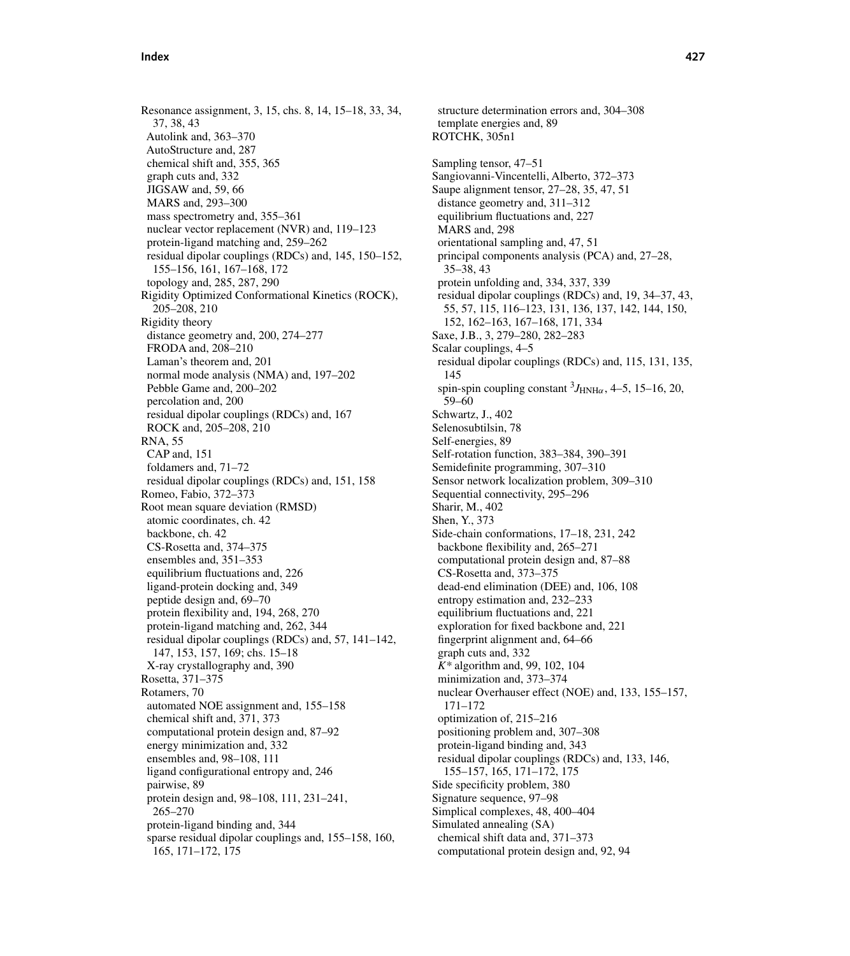Resonance assignment, 3, 15, chs. 8, 14, 15–18, 33, 34, 37, 38, 43 Autolink and, 363–370 AutoStructure and, 287 chemical shift and, 355, 365 graph cuts and, 332 JIGSAW and, 59, 66 MARS and, 293–300 mass spectrometry and, 355–361 nuclear vector replacement (NVR) and, 119–123 protein-ligand matching and, 259–262 residual dipolar couplings (RDCs) and, 145, 150–152, 155–156, 161, 167–168, 172 topology and, 285, 287, 290 Rigidity Optimized Conformational Kinetics (ROCK), 205–208, 210 Rigidity theory distance geometry and, 200, 274–277 FRODA and, 208–210 Laman's theorem and, 201 normal mode analysis (NMA) and, 197–202 Pebble Game and, 200–202 percolation and, 200 residual dipolar couplings (RDCs) and, 167 ROCK and, 205–208, 210 RNA, 55 CAP and, 151 foldamers and, 71–72 residual dipolar couplings (RDCs) and, 151, 158 Romeo, Fabio, 372–373 Root mean square deviation (RMSD) atomic coordinates, ch. 42 backbone, ch. 42 CS-Rosetta and, 374–375 ensembles and, 351–353 equilibrium fluctuations and, 226 ligand-protein docking and, 349 peptide design and, 69–70 protein flexibility and, 194, 268, 270 protein-ligand matching and, 262, 344 residual dipolar couplings (RDCs) and, 57, 141–142, 147, 153, 157, 169; chs. 15–18 X-ray crystallography and, 390 Rosetta, 371–375 Rotamers, 70 automated NOE assignment and, 155–158 chemical shift and, 371, 373 computational protein design and, 87–92 energy minimization and, 332 ensembles and, 98–108, 111 ligand configurational entropy and, 246 pairwise, 89 protein design and, 98–108, 111, 231–241, 265–270 protein-ligand binding and, 344 sparse residual dipolar couplings and, 155–158, 160, 165, 171–172, 175

structure determination errors and, 304–308 template energies and, 89 ROTCHK, 305n1 Sampling tensor, 47–51 Sangiovanni-Vincentelli, Alberto, 372–373 Saupe alignment tensor, 27–28, 35, 47, 51 distance geometry and, 311–312 equilibrium fluctuations and, 227 MARS and, 298 orientational sampling and, 47, 51 principal components analysis (PCA) and, 27–28, 35–38, 43 protein unfolding and, 334, 337, 339 residual dipolar couplings (RDCs) and, 19, 34–37, 43, 55, 57, 115, 116–123, 131, 136, 137, 142, 144, 150, 152, 162–163, 167–168, 171, 334 Saxe, J.B., 3, 279–280, 282–283 Scalar couplings, 4–5 residual dipolar couplings (RDCs) and, 115, 131, 135, 145 spin-spin coupling constant  ${}^{3}J_{\text{HNH}\alpha}$ , 4–5, 15–16, 20, 59–60 Schwartz, J., 402 Selenosubtilsin, 78 Self-energies, 89 Self-rotation function, 383–384, 390–391 Semidefinite programming, 307–310 Sensor network localization problem, 309–310 Sequential connectivity, 295–296 Sharir, M., 402 Shen, Y., 373 Side-chain conformations, 17–18, 231, 242 backbone flexibility and, 265–271 computational protein design and, 87–88 CS-Rosetta and, 373–375 dead-end elimination (DEE) and, 106, 108 entropy estimation and, 232–233 equilibrium fluctuations and, 221 exploration for fixed backbone and, 221 fingerprint alignment and, 64–66 graph cuts and, 332 *K\** algorithm and, 99, 102, 104 minimization and, 373–374 nuclear Overhauser effect (NOE) and, 133, 155–157, 171–172 optimization of, 215–216 positioning problem and, 307–308 protein-ligand binding and, 343 residual dipolar couplings (RDCs) and, 133, 146, 155–157, 165, 171–172, 175 Side specificity problem, 380 Signature sequence, 97–98 Simplical complexes, 48, 400–404 Simulated annealing (SA) chemical shift data and, 371–373 computational protein design and, 92, 94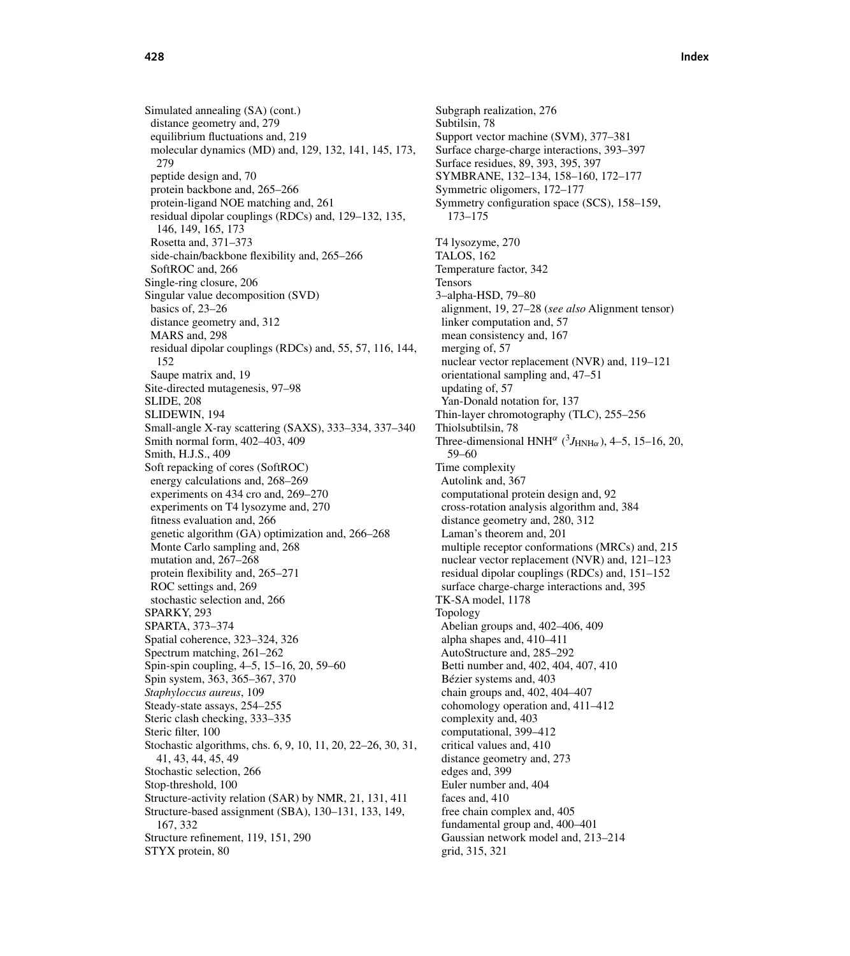Simulated annealing (SA) (cont.) distance geometry and, 279 equilibrium fluctuations and, 219 molecular dynamics (MD) and, 129, 132, 141, 145, 173, 279 peptide design and, 70 protein backbone and, 265–266 protein-ligand NOE matching and, 261 residual dipolar couplings (RDCs) and, 129–132, 135, 146, 149, 165, 173 Rosetta and, 371–373 side-chain/backbone flexibility and, 265–266 SoftROC and, 266 Single-ring closure, 206 Singular value decomposition (SVD) basics of, 23–26 distance geometry and, 312 MARS and, 298 residual dipolar couplings (RDCs) and, 55, 57, 116, 144, 152 Saupe matrix and, 19 Site-directed mutagenesis, 97–98 SLIDE, 208 SLIDEWIN, 194 Small-angle X-ray scattering (SAXS), 333–334, 337–340 Smith normal form, 402–403, 409 Smith, H.J.S., 409 Soft repacking of cores (SoftROC) energy calculations and, 268–269 experiments on 434 cro and, 269–270 experiments on T4 lysozyme and, 270 fitness evaluation and, 266 genetic algorithm (GA) optimization and, 266–268 Monte Carlo sampling and, 268 mutation and, 267–268 protein flexibility and, 265–271 ROC settings and, 269 stochastic selection and, 266 SPARKY, 293 SPARTA, 373–374 Spatial coherence, 323–324, 326 Spectrum matching, 261–262 Spin-spin coupling, 4–5, 15–16, 20, 59–60 Spin system, 363, 365–367, 370 *Staphyloccus aureus*, 109 Steady-state assays, 254–255 Steric clash checking, 333–335 Steric filter, 100 Stochastic algorithms, chs. 6, 9, 10, 11, 20, 22–26, 30, 31, 41, 43, 44, 45, 49 Stochastic selection, 266 Stop-threshold, 100 Structure-activity relation (SAR) by NMR, 21, 131, 411 Structure-based assignment (SBA), 130–131, 133, 149, 167, 332 Structure refinement, 119, 151, 290 STYX protein, 80

Subgraph realization, 276 Subtilsin, 78 Support vector machine (SVM), 377–381 Surface charge-charge interactions, 393–397 Surface residues, 89, 393, 395, 397 SYMBRANE, 132–134, 158–160, 172–177 Symmetric oligomers, 172–177 Symmetry configuration space (SCS), 158–159, 173–175 T4 lysozyme, 270 TALOS, 162 Temperature factor, 342 Tensors 3–alpha-HSD, 79–80 alignment, 19, 27–28 (*see also* Alignment tensor) linker computation and, 57 mean consistency and, 167 merging of, 57 nuclear vector replacement (NVR) and, 119–121 orientational sampling and, 47–51 updating of, 57 Yan-Donald notation for, 137 Thin-layer chromotography (TLC), 255–256 Thiolsubtilsin, 78 Three-dimensional HNH<sup> $\alpha$ </sup> ( ${}^{3}J_{\text{HNH}\alpha}$ ), 4–5, 15–16, 20, 59–60 Time complexity Autolink and, 367 computational protein design and, 92 cross-rotation analysis algorithm and, 384 distance geometry and, 280, 312 Laman's theorem and, 201 multiple receptor conformations (MRCs) and, 215 nuclear vector replacement (NVR) and, 121–123 residual dipolar couplings (RDCs) and, 151–152 surface charge-charge interactions and, 395 TK-SA model, 1178 Topology Abelian groups and, 402–406, 409 alpha shapes and, 410–411 AutoStructure and, 285–292 Betti number and, 402, 404, 407, 410 Bézier systems and, 403 chain groups and, 402, 404–407 cohomology operation and, 411–412 complexity and, 403 computational, 399–412 critical values and, 410 distance geometry and, 273 edges and, 399 Euler number and, 404 faces and, 410 free chain complex and, 405 fundamental group and, 400–401 Gaussian network model and, 213–214 grid, 315, 321